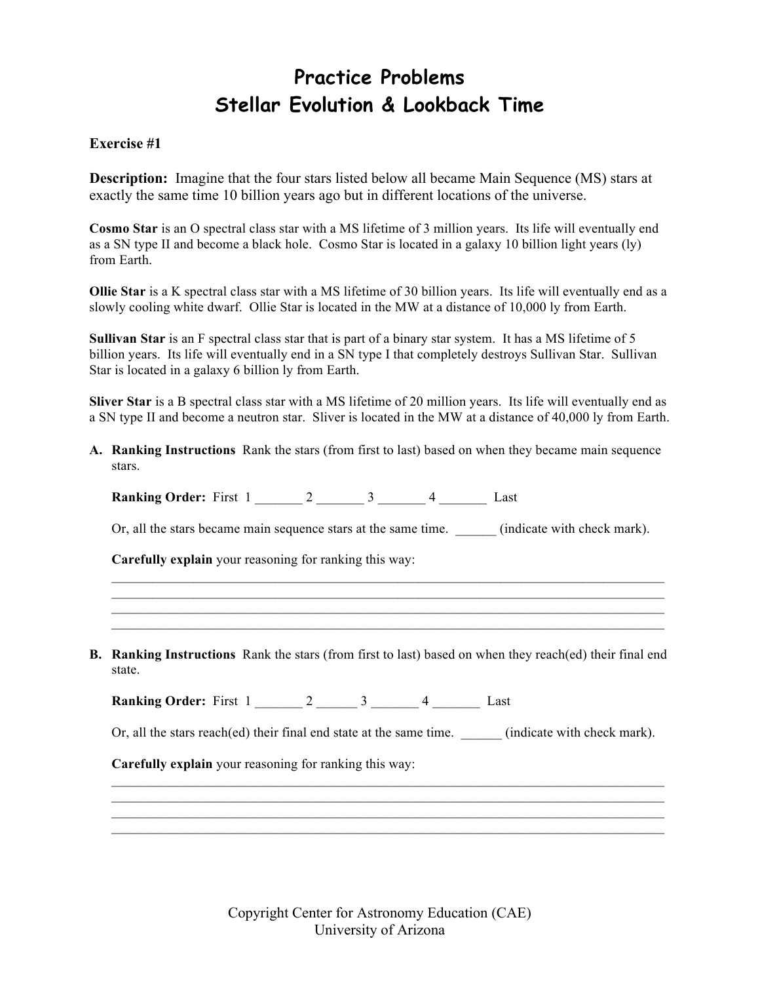## **Practice Problems Stellar Evolution & Lookback Time**

## **Exercise #1**

**Description:** Imagine that the four stars listed below all became Main Sequence (MS) stars at exactly the same time 10 billion years ago but in different locations of the universe.

**Cosmo Star** is an O spectral class star with a MS lifetime of 3 million years. Its life will eventually end as a SN type II and become a black hole. Cosmo Star is located in a galaxy 10 billion light years (ly) from Earth.

**Ollie Star** is a K spectral class star with a MS lifetime of 30 billion years. Its life will eventually end as a slowly cooling white dwarf. Ollie Star is located in the MW at a distance of 10,000 ly from Earth.

**Sullivan Star** is an F spectral class star that is part of a binary star system. It has a MS lifetime of 5 billion years. Its life will eventually end in a SN type I that completely destroys Sullivan Star. Sullivan Star is located in a galaxy 6 billion ly from Earth.

**Sliver Star** is a B spectral class star with a MS lifetime of 20 million years. Its life will eventually end as a SN type II and become a neutron star. Sliver is located in the MW at a distance of 40,000 ly from Earth.

**A. Ranking Instructions** Rank the stars (from first to last) based on when they became main sequence stars.

Or, all the stars became main sequence stars at the same time. (indicate with check mark).

 $\mathcal{L}_\text{max} = \mathcal{L}_\text{max} = \mathcal{L}_\text{max} = \mathcal{L}_\text{max} = \mathcal{L}_\text{max} = \mathcal{L}_\text{max} = \mathcal{L}_\text{max} = \mathcal{L}_\text{max} = \mathcal{L}_\text{max} = \mathcal{L}_\text{max} = \mathcal{L}_\text{max} = \mathcal{L}_\text{max} = \mathcal{L}_\text{max} = \mathcal{L}_\text{max} = \mathcal{L}_\text{max} = \mathcal{L}_\text{max} = \mathcal{L}_\text{max} = \mathcal{L}_\text{max} = \mathcal{$  $\mathcal{L}_\text{max} = \mathcal{L}_\text{max} = \mathcal{L}_\text{max} = \mathcal{L}_\text{max} = \mathcal{L}_\text{max} = \mathcal{L}_\text{max} = \mathcal{L}_\text{max} = \mathcal{L}_\text{max} = \mathcal{L}_\text{max} = \mathcal{L}_\text{max} = \mathcal{L}_\text{max} = \mathcal{L}_\text{max} = \mathcal{L}_\text{max} = \mathcal{L}_\text{max} = \mathcal{L}_\text{max} = \mathcal{L}_\text{max} = \mathcal{L}_\text{max} = \mathcal{L}_\text{max} = \mathcal{$ 

**Carefully explain** your reasoning for ranking this way:

**B. Ranking Instructions** Rank the stars (from first to last) based on when they reach(ed) their final end state.

**Ranking Order:** First 1 \_\_\_\_\_\_ 2 \_\_\_\_\_\_ 3 \_\_\_\_\_\_ 4 \_\_\_\_\_\_ Last

**Ranking Order:** First 1  $\overline{2}$  3  $\overline{4}$  Last

Or, all the stars reach(ed) their final end state at the same time. (indicate with check mark).

\_\_\_\_\_\_\_\_\_\_\_\_\_\_\_\_\_\_\_\_\_\_\_\_\_\_\_\_\_\_\_\_\_\_\_\_\_\_\_\_\_\_\_\_\_\_\_\_\_\_\_\_\_\_\_\_\_\_\_\_\_\_\_\_\_\_\_\_\_\_\_\_\_\_\_\_\_\_\_\_\_ \_\_\_\_\_\_\_\_\_\_\_\_\_\_\_\_\_\_\_\_\_\_\_\_\_\_\_\_\_\_\_\_\_\_\_\_\_\_\_\_\_\_\_\_\_\_\_\_\_\_\_\_\_\_\_\_\_\_\_\_\_\_\_\_\_\_\_\_\_\_\_\_\_\_\_\_\_\_\_\_\_  $\mathcal{L}_\mathcal{L} = \{ \mathcal{L}_\mathcal{L} = \{ \mathcal{L}_\mathcal{L} = \{ \mathcal{L}_\mathcal{L} = \{ \mathcal{L}_\mathcal{L} = \{ \mathcal{L}_\mathcal{L} = \{ \mathcal{L}_\mathcal{L} = \{ \mathcal{L}_\mathcal{L} = \{ \mathcal{L}_\mathcal{L} = \{ \mathcal{L}_\mathcal{L} = \{ \mathcal{L}_\mathcal{L} = \{ \mathcal{L}_\mathcal{L} = \{ \mathcal{L}_\mathcal{L} = \{ \mathcal{L}_\mathcal{L} = \{ \mathcal{L}_\mathcal{$  $\mathcal{L}_\text{max} = \mathcal{L}_\text{max} = \mathcal{L}_\text{max} = \mathcal{L}_\text{max} = \mathcal{L}_\text{max} = \mathcal{L}_\text{max} = \mathcal{L}_\text{max} = \mathcal{L}_\text{max} = \mathcal{L}_\text{max} = \mathcal{L}_\text{max} = \mathcal{L}_\text{max} = \mathcal{L}_\text{max} = \mathcal{L}_\text{max} = \mathcal{L}_\text{max} = \mathcal{L}_\text{max} = \mathcal{L}_\text{max} = \mathcal{L}_\text{max} = \mathcal{L}_\text{max} = \mathcal{$ 

**Carefully explain** your reasoning for ranking this way: